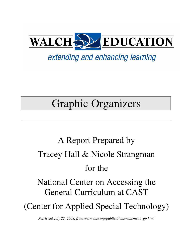

# extending and enhancing learning

# Graphic Organizers

# A Report Prepared by Tracey Hall & Nicole Strangman for the National Center on Accessing the General Curriculum at CAST (Center for Applied Special Technology)

*Retrieved July 22, 2008, from www.cast.org/publications/ncac/ncac\_go.html*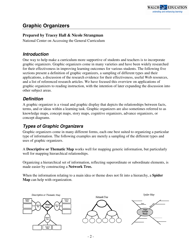# **Graphic Organizers**

#### **Prepared by Tracey Hall & Nicole Strangman**

National Center on Accessing the General Curriculum

### **Introduction**

One way to help make a curriculum more supportive of students and teachers is to incorporate graphic organizers. Graphic organizers come in many varieties and have been widely researched for their effectiveness in improving learning outcomes for various students. The following five sections present a definition of graphic organizers, a sampling of different types and their applications, a discussion of the research evidence for their effectiveness, useful Web resources, and a list of referenced research articles. We have focused this overview on applications of graphic organizers to reading instruction, with the intention of later expanding the discussion into other subject areas.

# **Definition**

A graphic organizer is a visual and graphic display that depicts the relationships between facts, terms, and or ideas within a learning task. Graphic organizers are also sometimes referred to as knowledge maps, concept maps, story maps, cognitive organizers, advance organizers, or concept diagrams.

# **Types of Graphic Organizers**

Graphic organizers come in many different forms, each one best suited to organizing a particular type of information. The following examples are merely a sampling of the different types and uses of graphic organizers.

A **Descriptive or Thematic Map** works well for mapping generic information, but particularly well for mapping hierarchical relationships.

Organizing a hierarchical set of information, reflecting superordinate or subordinate elements, is made easier by constructing a **Network Tree.**

When the information relating to a main idea or theme does not fit into a hierarchy, a **Spider Map** can help with organization.

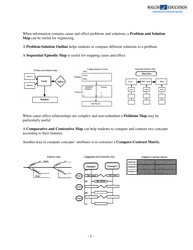When information contains cause and effect problems and solutions, a **Problem and Solution Map** can be useful for organizing.

A **Problem-Solution Outline** helps students to compare different solutions to a problem.

A **Sequential Episodic Map** is useful for mapping cause and effect.



When cause-effect relationships are complex and non-redundant a **Fishbone Map** may be particularly useful.

A **Comparative and Contrastive Map** can help students to compare and contrast two concepts according to their features.

Another way to compare concepts' attributes is to construct a **Compare-Contrast Matrix**.



| Compare-Contrast Matrix |  |  |  |
|-------------------------|--|--|--|
| Attribute 1             |  |  |  |
| Attribute 2             |  |  |  |
| Attribute 3             |  |  |  |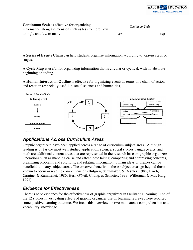

#### **Continuum Scale** is effective for organizing information along a dimension such as less to more, low to high, and few to many.

|                 | Continuum Scale |      |
|-----------------|-----------------|------|
| $L_{\text{OW}}$ |                 | High |

A **Series of Events Chain** can help students organize information according to various steps or stages.

A **Cycle Map** is useful for organizing information that is circular or cyclical, with no absolute beginning or ending.

A **Human Interaction Outline** is effective for organizing events in terms of a chain of action and reaction (especially useful in social sciences and humanities).



# **Applications Across Curriculum Areas**

Graphic organizers have been applied across a range of curriculum subject areas. Although reading is by far the most well studied application, science, social studies, language arts, and math are additional content areas that are represented in the research base on graphic organizers. Operations such as mapping cause and effect, note taking, comparing and contrasting concepts, organizing problems and solutions, and relating information to main ideas or themes can be beneficial to many subject areas. The observed benefits in these subject areas go beyond those known to occur in reading comprehension (Bulgren, Schumaker, & Deshler, 1988; Darch, Carnine, & Kammenui, 1986; Herl, O'Neil, Chung, & Schacter, 1999; Willerman & Mac Harg, 1991).

#### **Evidence for Effectiveness**

There is solid evidence for the effectiveness of graphic organizers in facilitating learning. Ten of the 12 studies investigating effects of graphic organizer use on learning reviewed here reported some positive learning outcome. We focus this overview on two main areas: comprehension and vocabulary knowledge.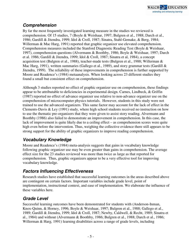

#### **Comprehension**

By far the most frequently investigated learning measure in the studies we reviewed is comprehension. Of 15 studies, 7 (Boyle & Weishaar, 1997; Bulgren et al., 1988; Darch et al., 1986; Gardill & Jitendra, 1999; Idol & Croll, 1987; Sinatra, Stahl-Gemake, & Berg, 1984; Willerman & Mac Harg, 1991) reported that graphic organizer use elevated comprehension. Comprehension measures included the Stanford Diagnostic Reading Test (Boyle & Weishaar, 1997), comprehension questions (Alvermann & Boothby, 1986; Boyle & Weishaar, 1997; Darch et al. 1986; Gardill & Jitendra, 1999; Idol & Croll, 1987; Sinatra et al, 1984), a concept acquisition test (Bulgren et al., 1988), teacher-made tests (Bulgren et al., 1988; Willerman & Mac Harg, 1991), written summaries (Gallego et al., 1989), and story grammar tests (Gardill & Jitendra, 1999). The reliability of these improvements in comprehension is further supported by Moore and Readence's (1984) metaanalysis. When looking across 23 different studies they found a small but consistent effect on comprehension.

Although 3 studies reported no effect of graphic organizer use on comprehension, these findings appear to be attributable to deficiencies in experimental design. Carnes, Lindbeck, & Griffin (1987) reported no effect of advance organizer use relative to non-advance organizer use on the comprehension of microcomputer physics tutorials. However, students in this study were not trained to use the advanced organizers. This same factor may account for the lack of effect in the Clements-Davis & Ley (1991) study, where high school students received no instruction on how to use the thematic pre-organizers that they were given to assist story reading. Alvermann and Boothby (1986) also failed to demonstrate an improvement in comprehension. In this case, the lack of improvement is quite likely due to a ceiling effect – as comprehension scores were quite high even before the intervention. Thus, weighing the collective evidence there still appears to be strong support for the ability of graphic organizers to improve reading comprehension.

# **Vocabulary Knowledge**

Moore and Readence's (1984) meta-analysis suggests that gains in vocabulary knowledge following graphic organizer use may be even greater than gains in comprehension. The average effect size for the 23 studies reviewed was more than twice as large as that reported for comprehension. Thus, graphic organizers appear to be a very effective tool for improving vocabulary knowledge.

# **Factors Influencing Effectiveness**

Research studies have established that successful learning outcomes in the areas described above are contingent on certain factors. Important variables include grade level, point of implementation, instructional context, and ease of implementation. We elaborate the influence of these variables here.

# **Grade Level**

Successful learning outcomes have been demonstrated for students with (Anderson-Inman, Knox-Quinn, & Horney, 1996; Boyle & Weishaar, 1997; Bulgren et al., 1988; Gallego et al., 1989; Gardill & Jitendra, 1999; Idol & Croll, 1987; Newby, Caldwell, & Recht, 1989; Sinatra et al., 1984) and without (Alvermann & Boothby, 1986; Bulgren et al., 1988; Darch et al., 1986; Willerman & Harg, 1991) learning disabilities across a range of grade levels, including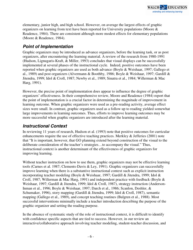elementary, junior high, and high school. However, on average the largest effects of graphic organizers on learning from text have been reported for University populations (Moore & Readence, 1984). There are consistent although more modest effects for elementary populations (Moore & Readence, 1984).

# **Point of Implementation**

Graphic organizers may be introduced as advance organizers, before the learning task, or as post organizers, after encountering the learning material. A review of the research from 1980-1991 (Hudson, Lignugaris-Kraft, & Miller, 1993) concludes that visual displays can be successfully implemented at several phases of the instructional cycle. Indeed, positive outcomes have been reported when graphic organizers are used as both advance (Boyle & Weishaar, 1997; Gallego et al., 1989) and post organizers (Alvermann & Boothby, 1986; Boyle & Weishaar, 1997; Gardill & Jitendra, 1999; Idol & Croll, 1987; Newby et al., 1989; Sinatra et al., 1984; Willerman & Mac Harg, 1991).

However, the precise point of implementation does appear to influence the degree of graphic organizers' effectiveness. In their comprehensive review, Moore and Readence (1984) report that the point of implementation is a crucial factor in determining the magnitude of improvement in learning outcome. When graphic organizers were used as a pre-reading activity, average effect sizes were small. In contrast, graphic organizers used as a follow up to reading yielded somewhat large improvements in learning outcomes. Thus, efforts to improve learning outcomes may be more successful when graphic organizers are introduced after the learning material.

# **Instructional Context**

In reviewing 11 years of research, Hudson et al. (1993) note that positive outcomes for curricular enhancements require the use of effective teaching practices. Merkley & Jefferies (2001) note that "It is important, however, that GO planning extend beyond construction of the visual to the deliberate consideration of the teacher's strategies…to accompany the visual." Thus, instructional context is another determinant of the effectiveness of graphic organizers for improving learning.

Without teacher instruction on how to use them, graphic organizers may not be effective learning tools (Carnes et al. 1987; Clements-Davis & Ley, 1991). Graphic organizers can successfully improve learning when there is a substantive instructional context such as explicit instruction incorporating teacher modeling (Boyle & Weishaar, 1997; Gardill & Jitendra, 1999; Idol & Croll, 1987; Willerman & Mac Harg, 1991) and independent practice with feedback (Boyle & Weishaar, 1997; Gardill & Jitendra, 1999; Idol & Croll, 1987), strategy instruction (Anderson-Inman et al., 1996; Boyle & Weishaar, 1997; Darch et al., 1986; Scanlon, Deshler, & Schumaker, 1996), story mapping (Gardill & Jitendra, 1999; Idol & Croll, 1987), semantic mapping (Gallego et al., 1989), and concept teaching routines (Bulgren et al., 1988). Most successful interventions minimally include a teacher introduction describing the purpose of the graphic organizer and setting the reading purpose.

In the absence of systematic study of the role of instructional context, it is difficult to identify with confidence specific aspects that are tied to success. However, in our review an interactive/collaborative approach involving teacher modeling, student-teacher discussion, and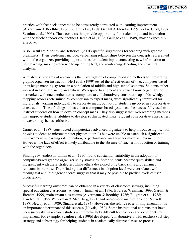practice with feedback appeared to be consistently correlated with learning improvement (Alvermann & Boothby, 1986; Bulgren et al, 1988; Gardill & Jitendra, 1999; Idol & Croll, 1987; Scanlon et al., 1996). Thus, contexts that provide opportunity for student input and interaction with the teacher and/or one another (Darch et al., 1986; Gallego et al., 1989) may be especially effective.

Also useful are Merkley and Jefferies' (2001) specific suggestions for teaching with graphic organizers. Their guidelines include: verbalizing relationships between the concepts represented within the organizer, providing opportunities for student input, connecting new information to past learning, making reference to upcoming text, and reinforcing decoding and structural analysis.

A relatively new area of research is the investigation of computer-based methods for presenting graphic organizer instruction. Herl et al. (1999) tested the effectiveness of two, computer-based knowledge mapping systems in a population of middle and high school students. Students either worked individually using an artificial Web space to augment and revise knowledge maps or networked with one another across computers to collaboratively construct maps. Knowledge mapping scores (determined by comparison to expert maps) were significantly improved for individuals working individually to elaborate maps, but not for students involved in collaborative construction. These findings indicate that a computer-based system can be successfully used to instruct students on how to develop concept maps. They also suggest that web searching methods may improve students' abilities to develop sophisticated maps. Student collaborative approaches, however, may be less effective.

Carnes et al. (1987) constructed computerized advanced organizers to help introduce high school physics students to microcomputer physics tutorials but were unable to establish a significant improvement in learning rate, retention, or performance on a teacher made achievement test. However, the lack of effect is likely attributable to the absence of teacher introduction or training with the organizers.

Findings by Anderson-Inman et al. (1996) found substantial variability in the adoption of computer-based graphic organizer study strategies. Some students became quite skilled and independent with these strategies, while others developed only basic skills and remained reluctant in their use. Their finding that differences in adoption level were correlated with reading test and intelligence scores suggests that it may be possible to predict levels of user proficiency.

Successful learning outcomes can be obtained in a variety of classroom settings, including special education classrooms (Anderson-Inman et al., 1996; Boyle & Weishaar, 1999; Gardill & Jitendra, 1999) mainstream classrooms (Alvermann & Boothby, 1986; Bulgren et al., 1988; Darch et al., 1986; Willerman & Mac Harg, 1991) and one-on-one instruction (Idol & Croll, 1987; Newby et al., 1989; Sinatra et al., 1984). However, the relative ease of implementation is an important determinant of this success (Novak, 1980). Some instructional contexts that have been successful in research studies are unfortunately difficult for teachers and or students to implement. For example, Scanlon et al. (1996) developed (collaboratively with teachers) a 5-step strategy and substrategy for helping students in academically diverse classes to process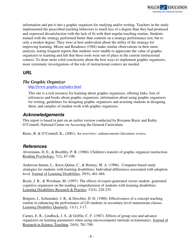information and put it into a graphic organizer for studying and/or writing. Teachers in the study implemented the prescribed teaching behaviors to much less of a degree than they had promised and expressed dissatisfaction with the lack of fit with their regular teaching routine. Students trained with the strategy performed better than controls on a strategy performance test, but to only a modest degree. They were at best ambivalent about the utility of the strategy for improving learning. Moore and Readence (1984) make similar observations in their metaanalysis, noting frequent reports that students were unable to appreciate the value of graphic organizers to learning and felt that these tools were out of place in the current instructional context. To draw more solid conclusions about the best ways to implement graphic organizers, more systematic investigations of the role of instructional context are needed.

# **URL**

#### *The Graphic Organizer*

http://www.graphic.org/index.html

This site is a rich resource for learning about graphic organizers, offering links, lists of references and books about graphic organizers, information about using graphic organizers for writing, guidelines for designing graphic organizers and assisting students in designing them, and samples of student work with graphic organizers.

#### **Acknowledgements**

This report is based in part on an earlier version conducted by Roxanne Ruzic and Kathy O'Connell, National Center on Accessing the General Curriculum.

Ruzic, R. & O'Connell, K., (2001). *An overview: enhancements literature review.*

#### **References**

Alvermann, D. E., & Boothby, P. R. (1986). Children's transfer of graphic organizer instruction. Reading Psychology, 7(2), 87-100.

Anderson-Inman, L., Knox-Quinn, C., & Horney, M. A. (1996). Computer-based study strategies for students with learning disabilities: Individual differences associated with adoption level. Journal of Learning Disabilities, 29(5), 461-484.

Boyle, J. R., & Weishaar, M. (1997). The effects of expert-generated versus student- generated cognitive organizers on the reading comprehension of students with learning disabilities. Learning Disabilities Research & Practice, 12(4), 228-235.

Bulgren, J., Schumaker, J. B., & Deschler, D. D. (1988). Effectiveness of a concept teaching routine in enhancing the performance of LD students in secondary-level mainstream classes. Learning Disability Quarterly, 11(1), 3-17.

Carnes, E. R., Lindbeck, J. S., & Griffin, C. F. (1987). Effects of group size and advance organizers on learning parameters when using microcomputer tutorials in kinematics. Journal of Research in Science Teaching, 24(9), 781-789.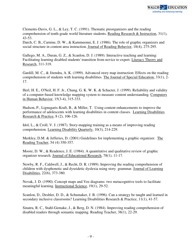Clements-Davis, G. L., & Ley, T. C. (1991). Thematic preorganizers and the reading comprehension of tenth-grade world literature students. Reading Research & Instruction, 31(1), 43-53.

Darch, C. B., Carnine, D. W., & Kammeenui, E. J. (1986). The role of graphic organizers and social structure in content area instruction. Journal of Reading Behavior, 18(4), 275-295.

Gallego, M. A., Duran, G. Z., & Scanlon, D. J. (1989). Interactive teaching and learning: Facilitating learning disabled students' transition from novice to expert. Literacy Theory and Research, 311-319.

Gardill, M. C., & Jitendra, A. K. (1999). Advanced story map instruction: Effects on the reading comprehension of students with learning disabilities. The Journal of Special Education, 33(1), 2- 17.

Herl, H. E., O'Neil, H. F. Jr., Chung, G. K. W. K. & Schacter, J. (1999). Reliability and validity of a computer-based knowledge mapping system to measure content understanding. Computers in Human Behavior, 15(3-4), 315-333.

Hudson, P., Lignugaris-Kraft, B., & Miller, T. Using content enhancements to improve the performance of adolescents with learning disabilities in content classes. Learning Disabilities Research & Practice, 8 (2), 106-126.

Idol, L., & Croll, V. J. (1987). Story-mapping training as a means of improving reading comprehension. Learning Disability Quarterly, 10(3), 214-229.

Merkley, D.M. & Jefferies, D. (2001) Guidelines for implementing a graphic organizer. The Reading Teacher, 54 (4) 350-357.

Moore, D. W., & Readence, J. E. (1984). A quantitative and qualitative review of graphic organizer research. Journal of Educational Research, 78(1), 11-17.

Newby, R. F., Caldwell, J., & Recht, D. R. (1989). Improving the reading comprehension of children with dysphonetic and dyseidetic dyslexia using story grammar. Journal of Learning Disabilities, 22(6), 373-380.

Novak, J. D. (1990). Concept maps and Vee diagrams: two metacognitive tools to facilitate meaningful learning. Instructional Science, 19(1), 29-52.

Scanlon, D., Deshler, D. D., & Schumaker, J. B. (1996). Can a strategy be taught and learned in secondary inclusive classrooms? Learning Disabilities Research & Practice, 11(1), 41-57.

Sinatra, R. C., Stahl-Gemake, J., & Berg, D. N. (1984). Improving reading comprehension of disabled readers through semantic mapping. Reading Teacher, 38(1), 22-29.